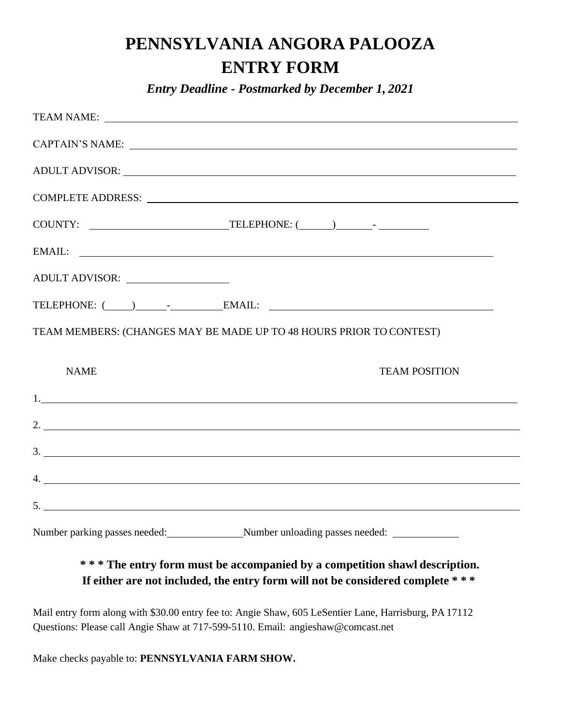## **PENNSYLVANIA ANGORA PALOOZA ENTRY FORM**

*Entry Deadline - Postmarked by December 1, 2021*

| TEAM NAME:                                                                                                                                                                                                                     |
|--------------------------------------------------------------------------------------------------------------------------------------------------------------------------------------------------------------------------------|
| CAPTAIN'S NAME: Letters and the set of the set of the set of the set of the set of the set of the set of the set of the set of the set of the set of the set of the set of the set of the set of the set of the set of the set |
|                                                                                                                                                                                                                                |
|                                                                                                                                                                                                                                |
|                                                                                                                                                                                                                                |
| EMAIL:                                                                                                                                                                                                                         |
| ADULT ADVISOR:                                                                                                                                                                                                                 |
|                                                                                                                                                                                                                                |
|                                                                                                                                                                                                                                |
| TEAM MEMBERS: (CHANGES MAY BE MADE UP TO 48 HOURS PRIOR TO CONTEST)                                                                                                                                                            |
|                                                                                                                                                                                                                                |
| <b>NAME</b><br><b>TEAM POSITION</b>                                                                                                                                                                                            |
|                                                                                                                                                                                                                                |
| 2.                                                                                                                                                                                                                             |
| 3.                                                                                                                                                                                                                             |
|                                                                                                                                                                                                                                |
|                                                                                                                                                                                                                                |

## **\* \* \* The entry form must be accompanied by a competition shawl description. If either are not included, the entry form will not be considered complete \* \* \***

Mail entry form along with \$30.00 entry fee to: Angie Shaw, 605 LeSentier Lane, Harrisburg, PA 17112 Questions: Please call Angie Shaw at 717-599-5110. Email: [angieshaw@comcast.net](mailto:angieshaw@comcast.net)

Make checks payable to: **PENNSYLVANIA FARM SHOW.**